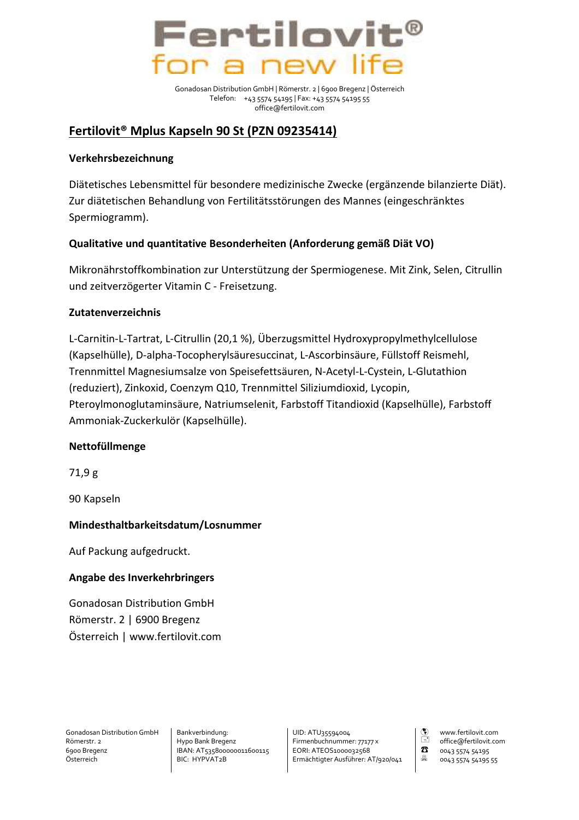

Gonadosan Distribution GmbH | Römerstr. 2 | 6900 Bregenz | Österreich Telefon: +43 5574 54195 | Fax: +43 5574 54195 55 office@fertilovit.com

# Fertilovit<sup>®</sup> Mplus Kapseln 90 St (PZN 09235414)

### Verkehrsbezeichnung

Diätetisches Lebensmittel für besondere medizinische Zwecke (ergänzende bilanzierte Diät). Zur diätetischen Behandlung von Fertilitätsstörungen des Mannes (eingeschränktes Spermiogramm).

## Qualitative und quantitative Besonderheiten (Anforderung gemäß Diät VO)

Mikronährstoffkombination zur Unterstützung der Spermiogenese. Mit Zink, Selen, Citrullin und zeitverzögerter Vitamin C - Freisetzung.

### **Zutatenverzeichnis**

L-Carnitin-L-Tartrat, L-Citrullin (20,1 %), Überzugsmittel Hydroxypropylmethylcellulose (Kapselhülle), D-alpha-Tocopherylsäuresuccinat, L-Ascorbinsäure, Füllstoff Reismehl, Trennmittel Magnesiumsalze von Speisefettsäuren, N-Acetyl-L-Cystein, L-Glutathion (reduziert), Zinkoxid, Coenzym Q10, Trennmittel Siliziumdioxid, Lycopin, Pteroylmonoglutaminsäure, Natriumselenit, Farbstoff Titandioxid (Kapselhülle), Farbstoff Ammoniak-Zuckerkulör (Kapselhülle).

#### Nettofüllmenge

 $71,9g$ 

90 Kapseln

## Mindesthaltbarkeitsdatum/Losnummer

Auf Packung aufgedruckt.

#### Angabe des Inverkehrbringers

**Gonadosan Distribution GmbH** Römerstr. 2 | 6900 Bregenz Österreich | www.fertilovit.com

Gonadosan Distribution GmbH Römerstr. 2 6900 Bregenz Österreich

Bankverbindung: Hypo Bank Bregenz IBAN: AT535800000011600115 BIC: HYPVAT2B

UID: ATU35594004 Firmenbuchnummer: 77177 x EORI: ATEOS1000032568 Ermächtigter Ausführer: AT/920/041  $\frac{1}{\sqrt{2}}$ www.fertilovit.com office@fertilovit.com  $\mathbf{z}$ 0043 5574 54195 县 0043 5574 54195 55